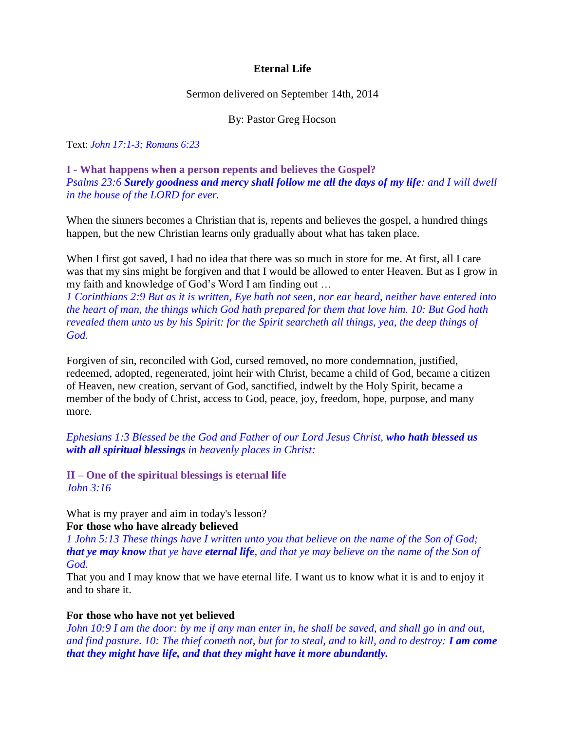# **Eternal Life**

Sermon delivered on September 14th, 2014

#### By: Pastor Greg Hocson

Text: *John 17:1-3; Romans 6:23*

**I - What happens when a person repents and believes the Gospel?** *Psalms 23:6 Surely goodness and mercy shall follow me all the days of my life: and I will dwell in the house of the LORD for ever.*

When the sinners becomes a Christian that is, repents and believes the gospel, a hundred things happen, but the new Christian learns only gradually about what has taken place.

When I first got saved, I had no idea that there was so much in store for me. At first, all I care was that my sins might be forgiven and that I would be allowed to enter Heaven. But as I grow in my faith and knowledge of God's Word I am finding out …

*1 Corinthians 2:9 But as it is written, Eye hath not seen, nor ear heard, neither have entered into the heart of man, the things which God hath prepared for them that love him. 10: But God hath revealed them unto us by his Spirit: for the Spirit searcheth all things, yea, the deep things of God.*

Forgiven of sin, reconciled with God, cursed removed, no more condemnation, justified, redeemed, adopted, regenerated, joint heir with Christ, became a child of God, became a citizen of Heaven, new creation, servant of God, sanctified, indwelt by the Holy Spirit, became a member of the body of Christ, access to God, peace, joy, freedom, hope, purpose, and many more.

*Ephesians 1:3 Blessed be the God and Father of our Lord Jesus Christ, who hath blessed us with all spiritual blessings in heavenly places in Christ:*

**II – One of the spiritual blessings is eternal life** *John 3:16*

What is my prayer and aim in today's lesson?

### **For those who have already believed**

*1 John 5:13 These things have I written unto you that believe on the name of the Son of God; that ye may know that ye have eternal life, and that ye may believe on the name of the Son of God.*

That you and I may know that we have eternal life. I want us to know what it is and to enjoy it and to share it.

### **For those who have not yet believed**

*John 10:9 I am the door: by me if any man enter in, he shall be saved, and shall go in and out, and find pasture. 10: The thief cometh not, but for to steal, and to kill, and to destroy: I am come that they might have life, and that they might have it more abundantly.*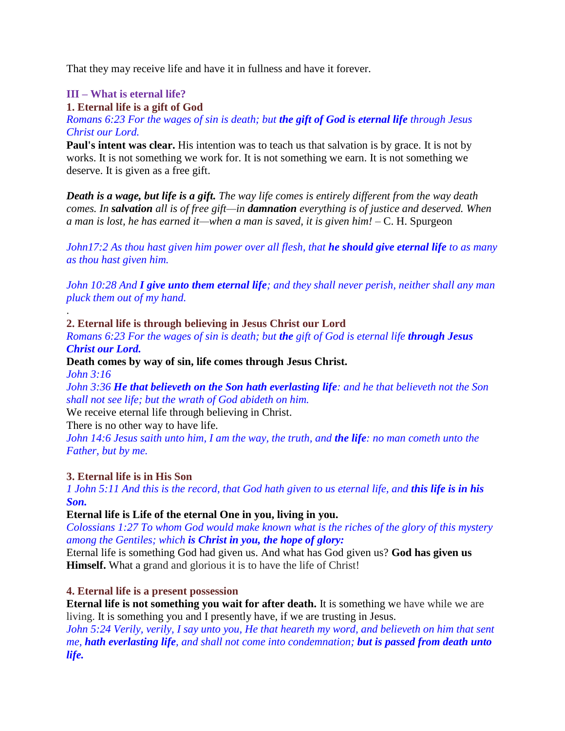That they may receive life and have it in fullness and have it forever.

# **III – What is eternal life?**

**1. Eternal life is a gift of God**

*Romans 6:23 For the wages of sin is death; but the gift of God is eternal life through Jesus Christ our Lord.*

**Paul's intent was clear.** His intention was to teach us that salvation is by grace. It is not by works. It is not something we work for. It is not something we earn. It is not something we deserve. It is given as a free gift.

*Death is a wage, but life is a gift. The way life comes is entirely different from the way death comes. In salvation all is of free gift—in damnation everything is of justice and deserved. When a man is lost, he has earned it—when a man is saved, it is given him!* – C. H. Spurgeon

*John17:2 As thou hast given him power over all flesh, that he should give eternal life to as many as thou hast given him.*

*John 10:28 And I give unto them eternal life; and they shall never perish, neither shall any man pluck them out of my hand.*

# **2. Eternal life is through believing in Jesus Christ our Lord**

*Romans 6:23 For the wages of sin is death; but the gift of God is eternal life through Jesus Christ our Lord.*

**Death comes by way of sin, life comes through Jesus Christ.** *John 3:16*

*John 3:36 He that believeth on the Son hath everlasting life: and he that believeth not the Son shall not see life; but the wrath of God abideth on him.*

We receive eternal life through believing in Christ.

There is no other way to have life.

*John 14:6 Jesus saith unto him, I am the way, the truth, and the life: no man cometh unto the Father, but by me.*

# **3. Eternal life is in His Son**

.

*1 John 5:11 And this is the record, that God hath given to us eternal life, and this life is in his Son.*

# **Eternal life is Life of the eternal One in you, living in you.**

*Colossians 1:27 To whom God would make known what is the riches of the glory of this mystery among the Gentiles; which is Christ in you, the hope of glory:*

Eternal life is something God had given us. And what has God given us? **God has given us Himself.** What a grand and glorious it is to have the life of Christ!

# **4. Eternal life is a present possession**

**Eternal life is not something you wait for after death.** It is something we have while we are living. It is something you and I presently have, if we are trusting in Jesus.

*John 5:24 Verily, verily, I say unto you, He that heareth my word, and believeth on him that sent me, hath everlasting life, and shall not come into condemnation; but is passed from death unto life.*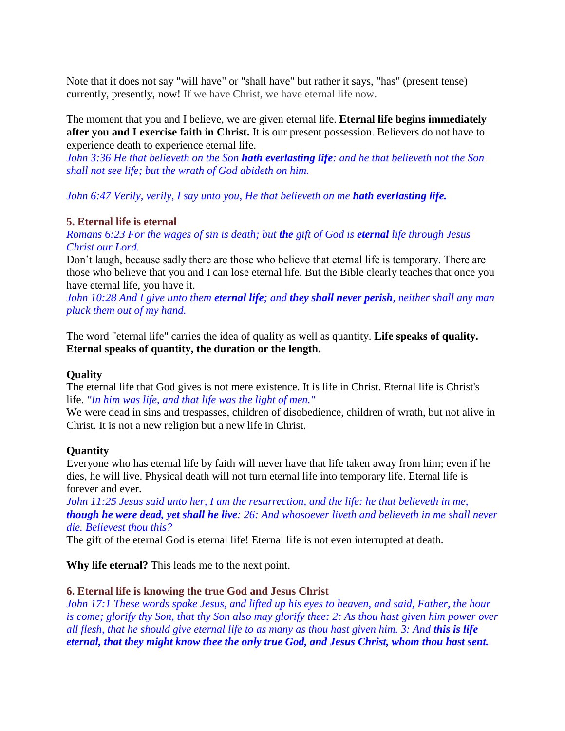Note that it does not say "will have" or "shall have" but rather it says, "has" (present tense) currently, presently, now! If we have Christ, we have eternal life now.

The moment that you and I believe, we are given eternal life. **Eternal life begins immediately after you and I exercise faith in Christ.** It is our present possession. Believers do not have to experience death to experience eternal life.

*John 3:36 He that believeth on the Son hath everlasting life: and he that believeth not the Son shall not see life; but the wrath of God abideth on him.*

*John 6:47 Verily, verily, I say unto you, He that believeth on me hath everlasting life.* 

# **5. Eternal life is eternal**

*Romans 6:23 For the wages of sin is death; but the gift of God is eternal life through Jesus Christ our Lord.*

Don't laugh, because sadly there are those who believe that eternal life is temporary. There are those who believe that you and I can lose eternal life. But the Bible clearly teaches that once you have eternal life, you have it.

*John 10:28 And I give unto them eternal life; and they shall never perish, neither shall any man pluck them out of my hand.*

The word "eternal life" carries the idea of quality as well as quantity. **Life speaks of quality. Eternal speaks of quantity, the duration or the length.**

### **Quality**

The eternal life that God gives is not mere existence. It is life in Christ. Eternal life is Christ's life. *"In him was life, and that life was the light of men."*

We were dead in sins and trespasses, children of disobedience, children of wrath, but not alive in Christ. It is not a new religion but a new life in Christ.

### **Quantity**

Everyone who has eternal life by faith will never have that life taken away from him; even if he dies, he will live. Physical death will not turn eternal life into temporary life. Eternal life is forever and ever.

*John 11:25 Jesus said unto her, I am the resurrection, and the life: he that believeth in me, though he were dead, yet shall he live: 26: And whosoever liveth and believeth in me shall never die. Believest thou this?*

The gift of the eternal God is eternal life! Eternal life is not even interrupted at death.

**Why life eternal?** This leads me to the next point.

# **6. Eternal life is knowing the true God and Jesus Christ**

*John 17:1 These words spake Jesus, and lifted up his eyes to heaven, and said, Father, the hour is come; glorify thy Son, that thy Son also may glorify thee: 2: As thou hast given him power over all flesh, that he should give eternal life to as many as thou hast given him. 3: And this is life eternal, that they might know thee the only true God, and Jesus Christ, whom thou hast sent.*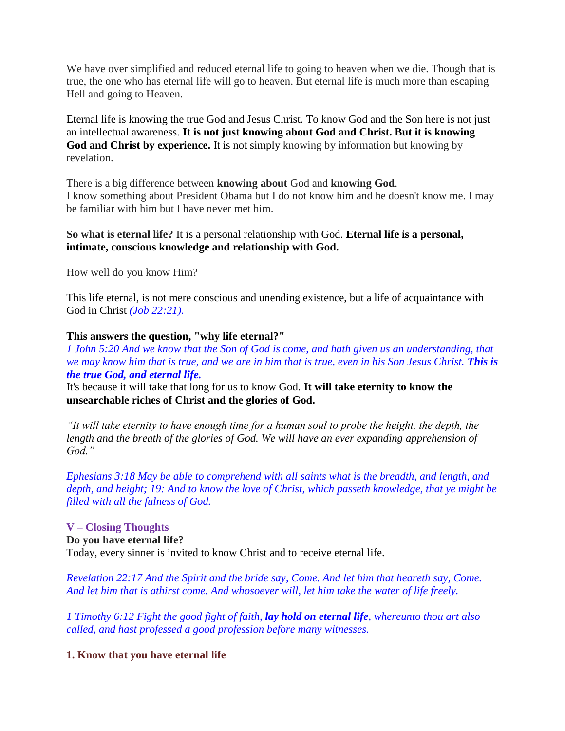We have over simplified and reduced eternal life to going to heaven when we die. Though that is true, the one who has eternal life will go to heaven. But eternal life is much more than escaping Hell and going to Heaven.

Eternal life is knowing the true God and Jesus Christ. To know God and the Son here is not just an intellectual awareness. **It is not just knowing about God and Christ. But it is knowing God and Christ by experience.** It is not simply knowing by information but knowing by revelation.

There is a big difference between **knowing about** God and **knowing God**. I know something about President Obama but I do not know him and he doesn't know me. I may be familiar with him but I have never met him.

# **So what is eternal life?** It is a personal relationship with God. **Eternal life is a personal, intimate, conscious knowledge and relationship with God.**

How well do you know Him?

This life eternal, is not mere conscious and unending existence, but a life of acquaintance with God in Christ *(Job 22:21).*

### **This answers the question, "why life eternal?"**

*1 John 5:20 And we know that the Son of God is come, and hath given us an understanding, that we may know him that is true, and we are in him that is true, even in his Son Jesus Christ. This is the true God, and eternal life.*

It's because it will take that long for us to know God. **It will take eternity to know the unsearchable riches of Christ and the glories of God.**

*"It will take eternity to have enough time for a human soul to probe the height, the depth, the length and the breath of the glories of God. We will have an ever expanding apprehension of God."*

*Ephesians 3:18 May be able to comprehend with all saints what is the breadth, and length, and depth, and height; 19: And to know the love of Christ, which passeth knowledge, that ye might be filled with all the fulness of God.*

# **V – Closing Thoughts Do you have eternal life?** Today, every sinner is invited to know Christ and to receive eternal life.

*Revelation 22:17 And the Spirit and the bride say, Come. And let him that heareth say, Come. And let him that is athirst come. And whosoever will, let him take the water of life freely.*

*1 Timothy 6:12 Fight the good fight of faith, lay hold on eternal life, whereunto thou art also called, and hast professed a good profession before many witnesses.*

**1. Know that you have eternal life**